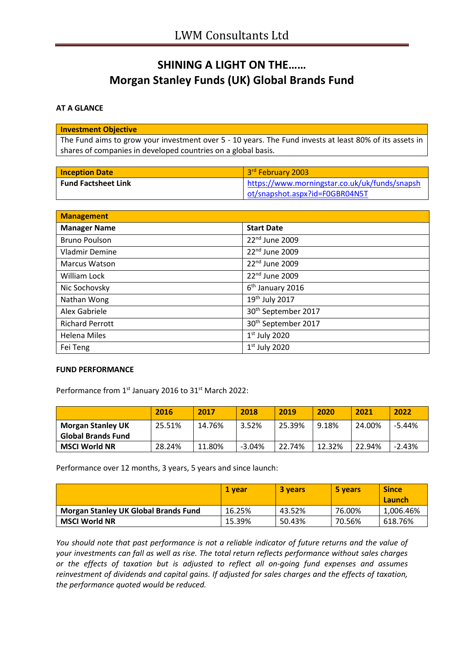## **SHINING A LIGHT ON THE…… Morgan Stanley Funds (UK) Global Brands Fund**

## **AT A GLANCE**

**Investment Objective**

| <u>Investment Opjective</u>                                                                             |
|---------------------------------------------------------------------------------------------------------|
| The Fund aims to grow your investment over 5 - 10 years. The Fund invests at least 80% of its assets in |
| shares of companies in developed countries on a global basis.                                           |

| <b>Inception Date</b>      | 3rd February 2003                             |
|----------------------------|-----------------------------------------------|
| <b>Fund Factsheet Link</b> | https://www.morningstar.co.uk/uk/funds/snapsh |
|                            | ot/snapshot.aspx?id=F0GBR04N5T                |

| <b>Management</b>      |                                 |
|------------------------|---------------------------------|
| <b>Manager Name</b>    | <b>Start Date</b>               |
| <b>Bruno Poulson</b>   | 22 <sup>nd</sup> June 2009      |
| Vladmir Demine         | 22nd June 2009                  |
| <b>Marcus Watson</b>   | 22nd June 2009                  |
| William Lock           | 22nd June 2009                  |
| Nic Sochovsky          | $6th$ January 2016              |
| Nathan Wong            | 19th July 2017                  |
| Alex Gabriele          | 30 <sup>th</sup> September 2017 |
| <b>Richard Perrott</b> | 30 <sup>th</sup> September 2017 |
| <b>Helena Miles</b>    | $1st$ July 2020                 |
| Fei Teng               | $1st$ July 2020                 |

## **FUND PERFORMANCE**

Performance from 1<sup>st</sup> January 2016 to 31<sup>st</sup> March 2022:

|                           | 2016   | 2017   | 2018     | 2019   | 2020   | 2021   | 2022     |
|---------------------------|--------|--------|----------|--------|--------|--------|----------|
| <b>Morgan Stanley UK</b>  | 25.51% | 14.76% | 3.52%    | 25.39% | 9.18%  | 24.00% | -5.44%   |
| <b>Global Brands Fund</b> |        |        |          |        |        |        |          |
| <b>MSCI World NR</b>      | 28.24% | 11.80% | $-3.04%$ | 22.74% | 12.32% | 22.94% | $-2.43%$ |

Performance over 12 months, 3 years, 5 years and since launch:

|                                             | 1 vear | <b>3 years</b> | 5 years | <b>Since</b><br>Launch |
|---------------------------------------------|--------|----------------|---------|------------------------|
| <b>Morgan Stanley UK Global Brands Fund</b> | 16.25% | 43.52%         | 76.00%  | $1,006.46\%$           |
| <b>MSCI World NR</b>                        | 15.39% | 50.43%         | 70.56%  | 618.76%                |

*You should note that past performance is not a reliable indicator of future returns and the value of your investments can fall as well as rise. The total return reflects performance without sales charges or the effects of taxation but is adjusted to reflect all on-going fund expenses and assumes reinvestment of dividends and capital gains. If adjusted for sales charges and the effects of taxation, the performance quoted would be reduced.*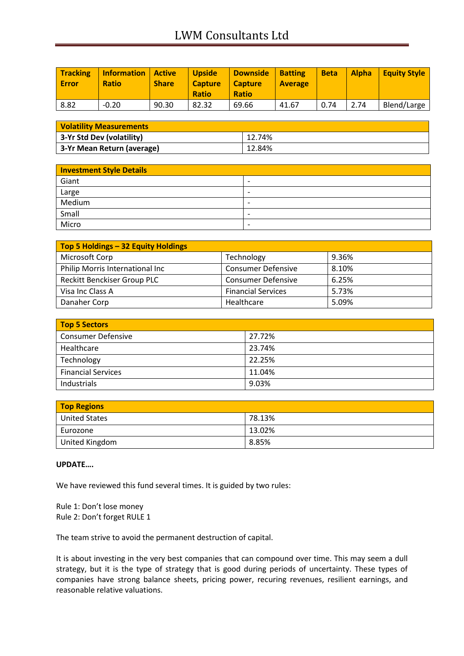| <b>Tracking</b><br><b>Error</b> | <b>Information   Active</b><br><b>Ratio</b> | <b>Share</b> | <b>Upside</b><br><b>Capture</b><br><b>Ratio</b> | Downside<br>Capture<br><b>Ratio</b> | <b>Batting</b><br><b>Average</b> | <b>Beta</b> | <b>Alpha</b> | <b>Equity Style</b> |
|---------------------------------|---------------------------------------------|--------------|-------------------------------------------------|-------------------------------------|----------------------------------|-------------|--------------|---------------------|
| 8.82                            | $-0.20$                                     | 90.30        | 82.32                                           | 69.66                               | 41.67                            | 0.74        | 2.74         | Blend/Large         |

| <b>Volatility Measurements</b> |        |
|--------------------------------|--------|
| 3-Yr Std Dev (volatility)      | 12.74% |
| 3-Yr Mean Return (average)     | 12.84% |

| <b>Investment Style Details</b> |                          |  |  |
|---------------------------------|--------------------------|--|--|
| Giant                           | $\overline{\phantom{0}}$ |  |  |
| Large                           | $\overline{\phantom{0}}$ |  |  |
| Medium                          | $\overline{\phantom{0}}$ |  |  |
| Small                           | $\overline{\phantom{0}}$ |  |  |
| Micro                           | $\overline{\phantom{0}}$ |  |  |

| Top 5 Holdings - 32 Equity Holdings |                           |       |
|-------------------------------------|---------------------------|-------|
| Microsoft Corp                      | Technology                | 9.36% |
| Philip Morris International Inc     | <b>Consumer Defensive</b> | 8.10% |
| <b>Reckitt Benckiser Group PLC</b>  | <b>Consumer Defensive</b> | 6.25% |
| Visa Inc Class A                    | <b>Financial Services</b> | 5.73% |
| Danaher Corp                        | Healthcare                | 5.09% |

| <b>Top 5 Sectors</b>      |        |  |  |
|---------------------------|--------|--|--|
| <b>Consumer Defensive</b> | 27.72% |  |  |
| Healthcare                | 23.74% |  |  |
| Technology                | 22.25% |  |  |
| <b>Financial Services</b> | 11.04% |  |  |
| Industrials               | 9.03%  |  |  |

| <b>Top Regions</b> |        |  |
|--------------------|--------|--|
| United States      | 78.13% |  |
| Eurozone           | 13.02% |  |
| United Kingdom     | 8.85%  |  |

## **UPDATE….**

We have reviewed this fund several times. It is guided by two rules:

Rule 1: Don't lose money Rule 2: Don't forget RULE 1

The team strive to avoid the permanent destruction of capital.

It is about investing in the very best companies that can compound over time. This may seem a dull strategy, but it is the type of strategy that is good during periods of uncertainty. These types of companies have strong balance sheets, pricing power, recuring revenues, resilient earnings, and reasonable relative valuations.